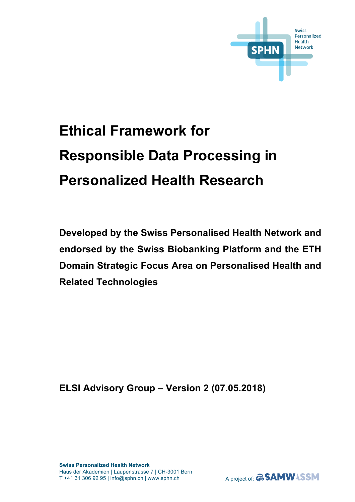

# **Ethical Framework for Responsible Data Processing in Personalized Health Research**

**Developed by the Swiss Personalised Health Network and endorsed by the Swiss Biobanking Platform and the ETH Domain Strategic Focus Area on Personalised Health and Related Technologies**

**ELSI Advisory Group – Version 2 (07.05.2018)**

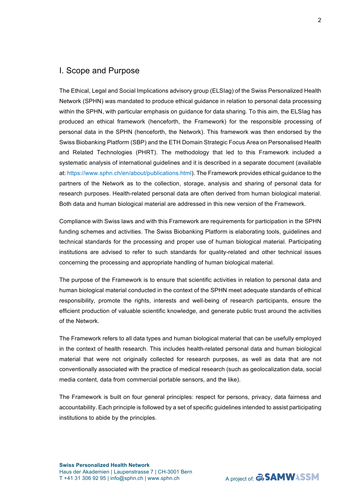#### I. Scope and Purpose

The Ethical, Legal and Social Implications advisory group (ELSIag) of the Swiss Personalized Health Network (SPHN) was mandated to produce ethical guidance in relation to personal data processing within the SPHN, with particular emphasis on guidance for data sharing. To this aim, the ELSIag has produced an ethical framework (henceforth, the Framework) for the responsible processing of personal data in the SPHN (henceforth, the Network). This framework was then endorsed by the Swiss Biobanking Platform (SBP) and the ETH Domain Strategic Focus Area on Personalised Health and Related Technologies (PHRT). The methodology that led to this Framework included a systematic analysis of international guidelines and it is described in a separate document (available at:<https://www.sphn.ch/en/about/publications.html>). The Framework provides ethical guidance to the partners of the Network as to the collection, storage, analysis and sharing of personal data for research purposes. Health-related personal data are often derived from human biological material. Both data and human biological material are addressed in this new version of the Framework.

Compliance with Swiss laws and with this Framework are requirements for participation in the SPHN funding schemes and activities. The Swiss Biobanking Platform is elaborating tools, guidelines and technical standards for the processing and proper use of human biological material. Participating institutions are advised to refer to such standards for quality-related and other technical issues concerning the processing and appropriate handling of human biological material.

The purpose of the Framework is to ensure that scientific activities in relation to personal data and human biological material conducted in the context of the SPHN meet adequate standards of ethical responsibility, promote the rights, interests and well-being of research participants, ensure the efficient production of valuable scientific knowledge, and generate public trust around the activities of the Network.

The Framework refers to all data types and human biological material that can be usefully employed in the context of health research. This includes health-related personal data and human biological material that were not originally collected for research purposes, as well as data that are not conventionally associated with the practice of medical research (such as geolocalization data, social media content, data from commercial portable sensors, and the like).

The Framework is built on four general principles: respect for persons, privacy, data fairness and accountability. Each principle is followed by a set of specific guidelines intended to assist participating institutions to abide by the principles.

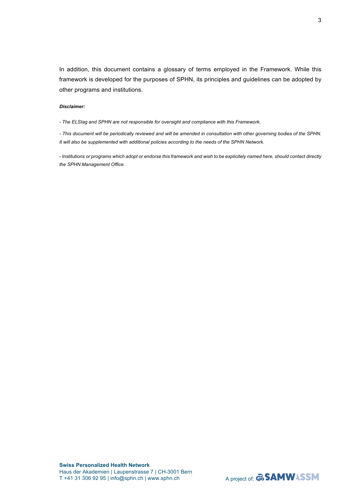In addition, this document contains a glossary of terms employed in the Framework. While this framework is developed for the purposes of SPHN, its principles and guidelines can be adopted by other programs and institutions.

#### *Disclaimer:*

*- The ELSIag and SPHN are not responsible for oversight and compliance with this Framework.* 

*- This document will be periodically reviewed and will be amended in consultation with other governing bodies of the SPHN. It will also be supplemented with additional policies according to the needs of the SPHN Network.*

*- Institutions or programs which adopt or endorse this framework and wish to be explicitely named here, should contact directly the SPHN Management Office.* 

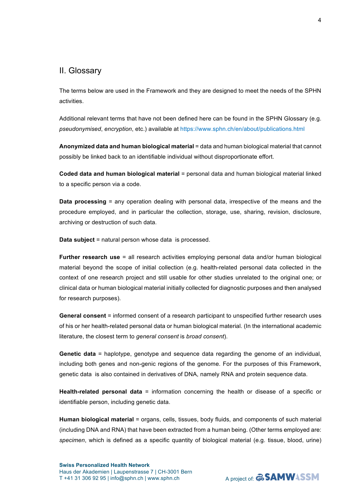### II. Glossary

The terms below are used in the Framework and they are designed to meet the needs of the SPHN activities.

Additional relevant terms that have not been defined here can be found in the SPHN Glossary (e.g. *pseudonymised*, *encryption*, etc.) available at<https://www.sphn.ch/en/about/publications.html>

**Anonymized data and human biological material** = data and human biological material that cannot possibly be linked back to an identifiable individual without disproportionate effort.

**Coded data and human biological material** = personal data and human biological material linked to a specific person via a code.

**Data processing** = any operation dealing with personal data, irrespective of the means and the procedure employed, and in particular the collection, storage, use, sharing, revision, disclosure, archiving or destruction of such data.

**Data subject** = natural person whose data is processed.

**Further research use** = all research activities employing personal data and/or human biological material beyond the scope of initial collection (e.g. health-related personal data collected in the context of one research project and still usable for other studies unrelated to the original one; or clinical data or human biological material initially collected for diagnostic purposes and then analysed for research purposes).

**General consent** = informed consent of a research participant to unspecified further research uses of his or her health-related personal data or human biological material. (In the international academic literature, the closest term to *general consent* is *broad consent*).

**Genetic data** = haplotype, genotype and sequence data regarding the genome of an individual, including both genes and non-genic regions of the genome. For the purposes of this Framework, genetic data is also contained in derivatives of DNA, namely RNA and protein sequence data.

**Health-related personal data** = information concerning the health or disease of a specific or identifiable person, including genetic data.

**Human biological material** = organs, cells, tissues, body fluids, and components of such material (including DNA and RNA) that have been extracted from a human being. (Other terms employed are: *specimen*, which is defined as a specific quantity of biological material (e.g. tissue, blood, urine)

4

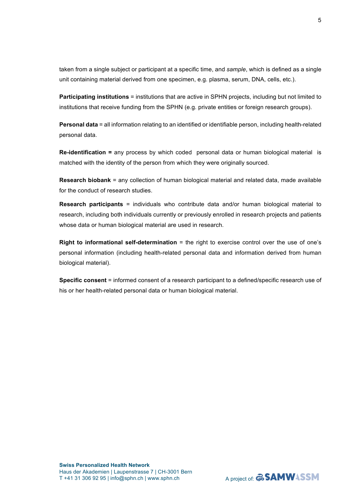taken from a single subject or participant at a specific time, and *sample*, which is defined as a single unit containing material derived from one specimen, e.g. plasma, serum, DNA, cells, etc.).

**Participating institutions** = institutions that are active in SPHN projects, including but not limited to institutions that receive funding from the SPHN (e.g. private entities or foreign research groups).

**Personal data** = all information relating to an identified or identifiable person, including health-related personal data.

**Re-identification =** any process by which coded personal data or human biological material is matched with the identity of the person from which they were originally sourced.

**Research biobank** = any collection of human biological material and related data, made available for the conduct of research studies.

**Research participants** = individuals who contribute data and/or human biological material to research, including both individuals currently or previously enrolled in research projects and patients whose data or human biological material are used in research.

**Right to informational self-determination** = the right to exercise control over the use of one's personal information (including health-related personal data and information derived from human biological material).

**Specific consent** = informed consent of a research participant to a defined/specific research use of his or her health-related personal data or human biological material.

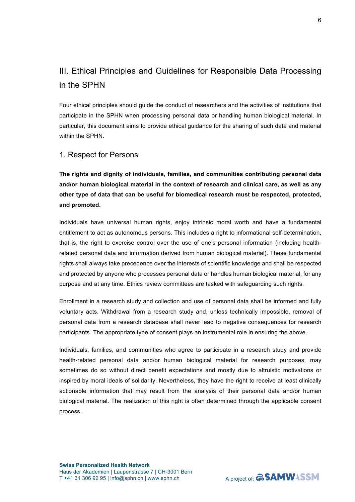## III. Ethical Principles and Guidelines for Responsible Data Processing in the SPHN

Four ethical principles should guide the conduct of researchers and the activities of institutions that participate in the SPHN when processing personal data or handling human biological material. In particular, this document aims to provide ethical guidance for the sharing of such data and material within the SPHN.

#### 1. Respect for Persons

**The rights and dignity of individuals, families, and communities contributing personal data and/or human biological material in the context of research and clinical care, as well as any other type of data that can be useful for biomedical research must be respected, protected, and promoted.**

Individuals have universal human rights, enjoy intrinsic moral worth and have a fundamental entitlement to act as autonomous persons. This includes a right to informational self-determination, that is, the right to exercise control over the use of one's personal information (including healthrelated personal data and information derived from human biological material). These fundamental rights shall always take precedence over the interests of scientific knowledge and shall be respected and protected by anyone who processes personal data or handles human biological material, for any purpose and at any time. Ethics review committees are tasked with safeguarding such rights.

Enrollment in a research study and collection and use of personal data shall be informed and fully voluntary acts. Withdrawal from a research study and, unless technically impossible, removal of personal data from a research database shall never lead to negative consequences for research participants. The appropriate type of consent plays an instrumental role in ensuring the above.

Individuals, families, and communities who agree to participate in a research study and provide health-related personal data and/or human biological material for research purposes, may sometimes do so without direct benefit expectations and mostly due to altruistic motivations or inspired by moral ideals of solidarity. Nevertheless, they have the right to receive at least clinically actionable information that may result from the analysis of their personal data and/or human biological material. The realization of this right is often determined through the applicable consent process.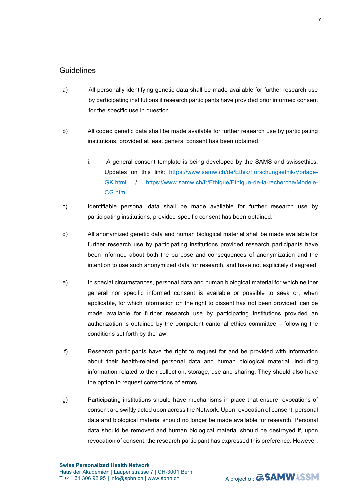- a) All personally identifying genetic data shall be made available for further research use by participating institutions if research participants have provided prior informed consent for the specific use in question.
- b) All coded genetic data shall be made available for further research use by participating institutions, provided at least general consent has been obtained.
	- i. A general consent template is being developed by the SAMS and swissethics. Updates on this link: [https://www.samw.ch/de/Ethik/Forschungsethik/Vorlage-](https://www.samw.ch/de/Ethik/Forschungsethik/Vorlage-GK.html)[GK.html](https://www.samw.ch/de/Ethik/Forschungsethik/Vorlage-GK.html) / https://www.samw.ch/fr/Ethique/Ethique-de-la-recherche/Modele-CG.html
- c) Identifiable personal data shall be made available for further research use by participating institutions, provided specific consent has been obtained.
- d) All anonymized genetic data and human biological material shall be made available for further research use by participating institutions provided research participants have been informed about both the purpose and consequences of anonymization and the intention to use such anonymized data for research, and have not explicitely disagreed.
- e) In special circumstances, personal data and human biological material for which neither general nor specific informed consent is available or possible to seek or, when applicable, for which information on the right to dissent has not been provided, can be made available for further research use by participating institutions provided an authorization is obtained by the competent cantonal ethics committee – following the conditions set forth by the law.
- f) Research participants have the right to request for and be provided with information about their health-related personal data and human biological material, including information related to their collection, storage, use and sharing. They should also have the option to request corrections of errors.
- g) Participating institutions should have mechanisms in place that ensure revocations of consent are swiftly acted upon across the Network. Upon revocation of consent, personal data and biological material should no longer be made available for research. Personal data should be removed and human biological material should be destroyed if, upon revocation of consent, the research participant has expressed this preference. However,

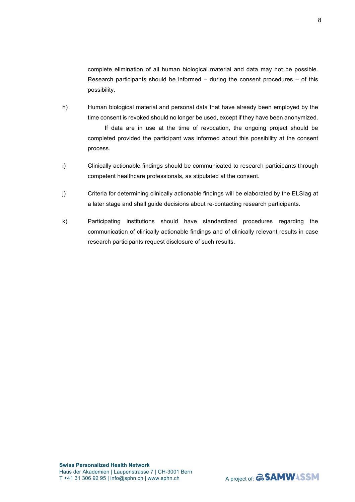complete elimination of all human biological material and data may not be possible. Research participants should be informed  $-$  during the consent procedures  $-$  of this possibility.

- h) Human biological material and personal data that have already been employed by the time consent is revoked should no longer be used, except if they have been anonymized. If data are in use at the time of revocation, the ongoing project should be completed provided the participant was informed about this possibility at the consent process.
- i) Clinically actionable findings should be communicated to research participants through competent healthcare professionals, as stipulated at the consent.
- j) Criteria for determining clinically actionable findings will be elaborated by the ELSIag at a later stage and shall guide decisions about re-contacting research participants.
- k) Participating institutions should have standardized procedures regarding the communication of clinically actionable findings and of clinically relevant results in case research participants request disclosure of such results.

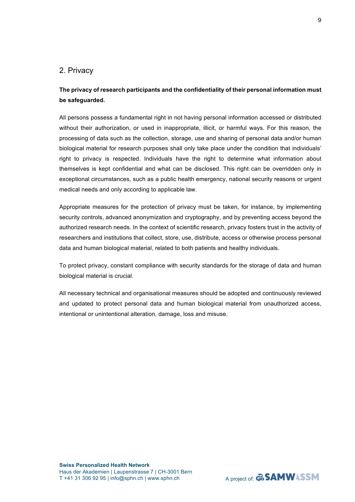#### 2. Privacy

### **The privacy of research participants and the confidentiality of their personal information must be safeguarded.**

All persons possess a fundamental right in not having personal information accessed or distributed without their authorization, or used in inappropriate, illicit, or harmful ways. For this reason, the processing of data such as the collection, storage, use and sharing of personal data and/or human biological material for research purposes shall only take place under the condition that individuals' right to privacy is respected. Individuals have the right to determine what information about themselves is kept confidential and what can be disclosed. This right can be overridden only in exceptional circumstances, such as a public health emergency, national security reasons or urgent medical needs and only according to applicable law.

Appropriate measures for the protection of privacy must be taken, for instance, by implementing security controls, advanced anonymization and cryptography, and by preventing access beyond the authorized research needs. In the context of scientific research, privacy fosters trust in the activity of researchers and institutions that collect, store, use, distribute, access or otherwise process personal data and human biological material, related to both patients and healthy individuals.

To protect privacy, constant compliance with security standards for the storage of data and human biological material is crucial.

All necessary technical and organisational measures should be adopted and continuously reviewed and updated to protect personal data and human biological material from unauthorized access, intentional or unintentional alteration, damage, loss and misuse.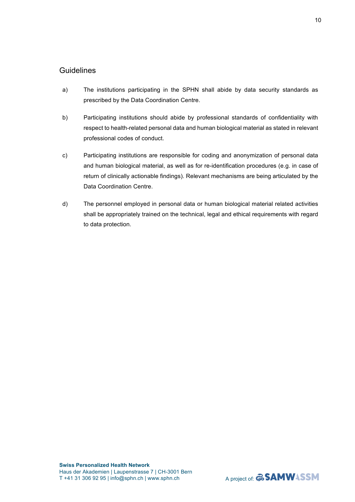- a) The institutions participating in the SPHN shall abide by data security standards as prescribed by the Data Coordination Centre.
- b) Participating institutions should abide by professional standards of confidentiality with respect to health-related personal data and human biological material as stated in relevant professional codes of conduct.
- c) Participating institutions are responsible for coding and anonymization of personal data and human biological material, as well as for re-identification procedures (e.g. in case of return of clinically actionable findings). Relevant mechanisms are being articulated by the Data Coordination Centre.
- d) The personnel employed in personal data or human biological material related activities shall be appropriately trained on the technical, legal and ethical requirements with regard to data protection.

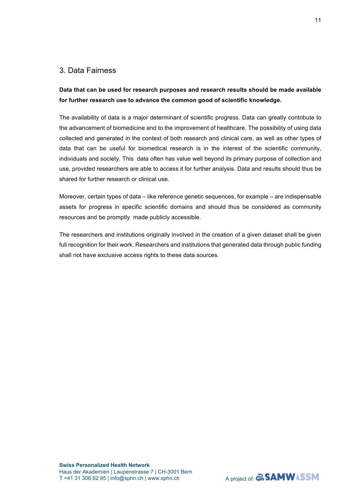#### 3. Data Fairness

**Data that can be used for research purposes and research results should be made available for further research use to advance the common good of scientific knowledge.** 

The availability of data is a major determinant of scientific progress. Data can greatly contribute to the advancement of biomedicine and to the improvement of healthcare. The possibility of using data collected and generated in the context of both research and clinical care, as well as other types of data that can be useful for biomedical research is in the interest of the scientific community, individuals and society. This data often has value well beyond its primary purpose of collection and use, provided researchers are able to access it for further analysis. Data and results should thus be shared for further research or clinical use.

Moreover, certain types of data – like reference genetic sequences, for example – are indispensable assets for progress in specific scientific domains and should thus be considered as community resources and be promptly made publicly accessible.

The researchers and institutions originally involved in the creation of a given dataset shall be given full recognition for their work. Researchers and institutions that generated data through public funding shall not have exclusive access rights to these data sources.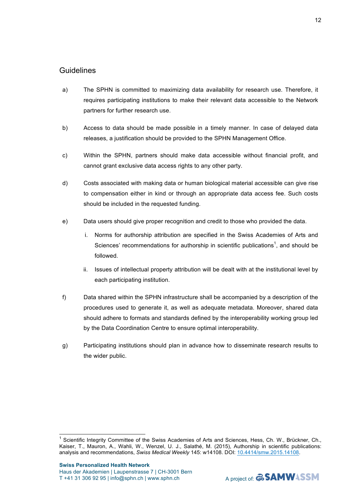- a) The SPHN is committed to maximizing data availability for research use. Therefore, it requires participating institutions to make their relevant data accessible to the Network partners for further research use.
- b) Access to data should be made possible in a timely manner. In case of delayed data releases, a justification should be provided to the SPHN Management Office.
- c) Within the SPHN, partners should make data accessible without financial profit, and cannot grant exclusive data access rights to any other party.
- d) Costs associated with making data or human biological material accessible can give rise to compensation either in kind or through an appropriate data access fee. Such costs should be included in the requested funding.
- e) Data users should give proper recognition and credit to those who provided the data.
	- i. Norms for authorship attribution are specified in the Swiss Academies of Arts and Sciences' recommendations for authorship in scientific publications<sup>1</sup>, and should be followed.
	- ii. Issues of intellectual property attribution will be dealt with at the institutional level by each participating institution.
- f) Data shared within the SPHN infrastructure shall be accompanied by a description of the procedures used to generate it, as well as adequate metadata. Moreover, shared data should adhere to formats and standards defined by the interoperability working group led by the Data Coordination Centre to ensure optimal interoperability.
- g) Participating institutions should plan in advance how to disseminate research results to the wider public.



Scientific Integrity Committee of the Swiss Academies of Arts and Sciences, Hess, Ch. W., Brückner, Ch., Kaiser, T., Mauron, A., Wahli, W., Wenzel, U. J., Salathé, M. (2015), Authorship in scientific publications: analysis and recommendations, *Swiss Medical Weekly* 145: w14108. DOI: 10.4414/smw.2015.14108.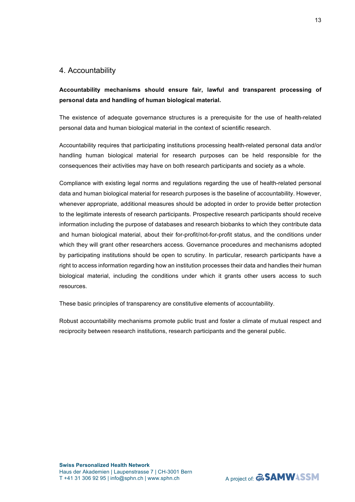#### 4. Accountability

**Accountability mechanisms should ensure fair, lawful and transparent processing of personal data and handling of human biological material.**

The existence of adequate governance structures is a prerequisite for the use of health-related personal data and human biological material in the context of scientific research.

Accountability requires that participating institutions processing health-related personal data and/or handling human biological material for research purposes can be held responsible for the consequences their activities may have on both research participants and society as a whole.

Compliance with existing legal norms and regulations regarding the use of health-related personal data and human biological material for research purposes is the baseline of accountability. However, whenever appropriate, additional measures should be adopted in order to provide better protection to the legitimate interests of research participants. Prospective research participants should receive information including the purpose of databases and research biobanks to which they contribute data and human biological material, about their for-profit/not-for-profit status, and the conditions under which they will grant other researchers access. Governance procedures and mechanisms adopted by participating institutions should be open to scrutiny. In particular, research participants have a right to access information regarding how an institution processes their data and handles their human biological material, including the conditions under which it grants other users access to such resources.

These basic principles of transparency are constitutive elements of accountability.

Robust accountability mechanisms promote public trust and foster a climate of mutual respect and reciprocity between research institutions, research participants and the general public.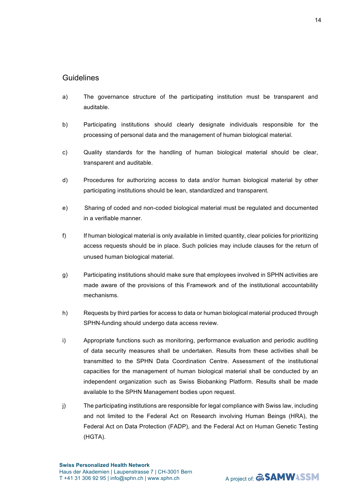- a) The governance structure of the participating institution must be transparent and auditable.
- b) Participating institutions should clearly designate individuals responsible for the processing of personal data and the management of human biological material.
- c) Quality standards for the handling of human biological material should be clear, transparent and auditable.
- d) Procedures for authorizing access to data and/or human biological material by other participating institutions should be lean, standardized and transparent.
- e) Sharing of coded and non-coded biological material must be regulated and documented in a verifiable manner.
- f) If human biological material is only available in limited quantity, clear policies for prioritizing access requests should be in place. Such policies may include clauses for the return of unused human biological material.
- g) Participating institutions should make sure that employees involved in SPHN activities are made aware of the provisions of this Framework and of the institutional accountability mechanisms.
- h) Requests by third parties for access to data or human biological material produced through SPHN-funding should undergo data access review.
- i) Appropriate functions such as monitoring, performance evaluation and periodic auditing of data security measures shall be undertaken. Results from these activities shall be transmitted to the SPHN Data Coordination Centre. Assessment of the institutional capacities for the management of human biological material shall be conducted by an independent organization such as Swiss Biobanking Platform. Results shall be made available to the SPHN Management bodies upon request.
- j) The participating institutions are responsible for legal compliance with Swiss law, including and not limited to the Federal Act on Research involving Human Beings (HRA), the Federal Act on Data Protection (FADP), and the Federal Act on Human Genetic Testing (HGTA).